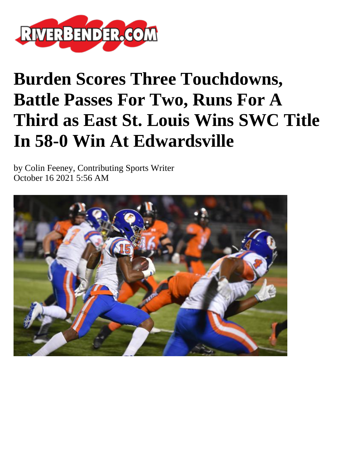

## **Burden Scores Three Touchdowns, Battle Passes For Two, Runs For A Third as East St. Louis Wins SWC Title In 58-0 Win At Edwardsville**

by Colin Feeney, Contributing Sports Writer October 16 2021 5:56 AM

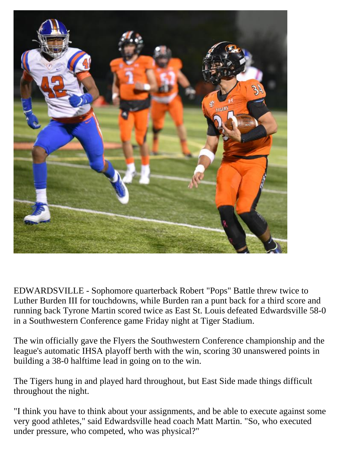

EDWARDSVILLE - Sophomore quarterback Robert "Pops" Battle threw twice to Luther Burden III for touchdowns, while Burden ran a punt back for a third score and running back Tyrone Martin scored twice as East St. Louis defeated Edwardsville 58-0 in a Southwestern Conference game Friday night at Tiger Stadium.

The win officially gave the Flyers the Southwestern Conference championship and the league's automatic IHSA playoff berth with the win, scoring 30 unanswered points in building a 38-0 halftime lead in going on to the win.

The Tigers hung in and played hard throughout, but East Side made things difficult throughout the night.

"I think you have to think about your assignments, and be able to execute against some very good athletes," said Edwardsville head coach Matt Martin. "So, who executed under pressure, who competed, who was physical?"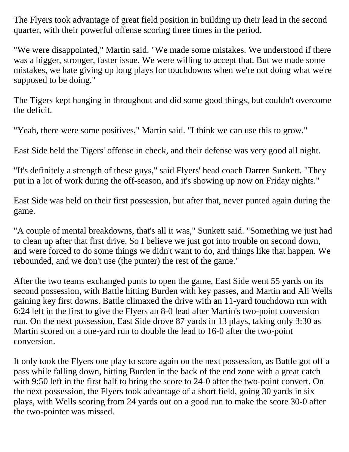The Flyers took advantage of great field position in building up their lead in the second quarter, with their powerful offense scoring three times in the period.

"We were disappointed," Martin said. "We made some mistakes. We understood if there was a bigger, stronger, faster issue. We were willing to accept that. But we made some mistakes, we hate giving up long plays for touchdowns when we're not doing what we're supposed to be doing."

The Tigers kept hanging in throughout and did some good things, but couldn't overcome the deficit.

"Yeah, there were some positives," Martin said. "I think we can use this to grow."

East Side held the Tigers' offense in check, and their defense was very good all night.

"It's definitely a strength of these guys," said Flyers' head coach Darren Sunkett. "They put in a lot of work during the off-season, and it's showing up now on Friday nights."

East Side was held on their first possession, but after that, never punted again during the game.

"A couple of mental breakdowns, that's all it was," Sunkett said. "Something we just had to clean up after that first drive. So I believe we just got into trouble on second down, and were forced to do some things we didn't want to do, and things like that happen. We rebounded, and we don't use (the punter) the rest of the game."

After the two teams exchanged punts to open the game, East Side went 55 yards on its second possession, with Battle hitting Burden with key passes, and Martin and Ali Wells gaining key first downs. Battle climaxed the drive with an 11-yard touchdown run with 6:24 left in the first to give the Flyers an 8-0 lead after Martin's two-point conversion run. On the next possession, East Side drove 87 yards in 13 plays, taking only 3:30 as Martin scored on a one-yard run to double the lead to 16-0 after the two-point conversion.

It only took the Flyers one play to score again on the next possession, as Battle got off a pass while falling down, hitting Burden in the back of the end zone with a great catch with 9:50 left in the first half to bring the score to 24-0 after the two-point convert. On the next possession, the Flyers took advantage of a short field, going 30 yards in six plays, with Wells scoring from 24 yards out on a good run to make the score 30-0 after the two-pointer was missed.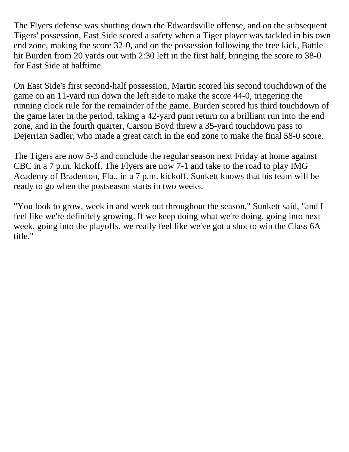The Flyers defense was shutting down the Edwardsville offense, and on the subsequent Tigers' possession, East Side scored a safety when a Tiger player was tackled in his own end zone, making the score 32-0, and on the possession following the free kick, Battle hit Burden from 20 yards out with 2:30 left in the first half, bringing the score to 38-0 for East Side at halftime.

On East Side's first second-half possession, Martin scored his second touchdown of the game on an 11-yard run down the left side to make the score 44-0, triggering the running clock rule for the remainder of the game. Burden scored his third touchdown of the game later in the period, taking a 42-yard punt return on a brilliant run into the end zone, and in the fourth quarter, Carson Boyd threw a 35-yard touchdown pass to Dejerrian Sadler, who made a great catch in the end zone to make the final 58-0 score.

The Tigers are now 5-3 and conclude the regular season next Friday at home against CBC in a 7 p.m. kickoff. The Flyers are now 7-1 and take to the road to play IMG Academy of Bradenton, Fla., in a 7 p.m. kickoff. Sunkett knows that his team will be ready to go when the postseason starts in two weeks.

"You look to grow, week in and week out throughout the season," Sunkett said, "and I feel like we're definitely growing. If we keep doing what we're doing, going into next week, going into the playoffs, we really feel like we've got a shot to win the Class 6A title."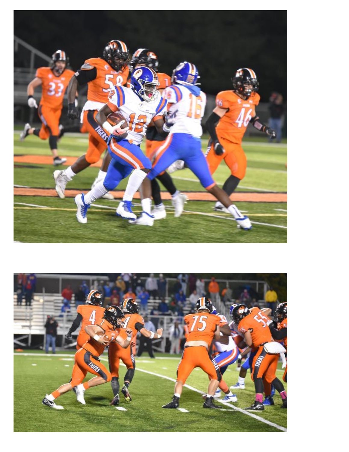